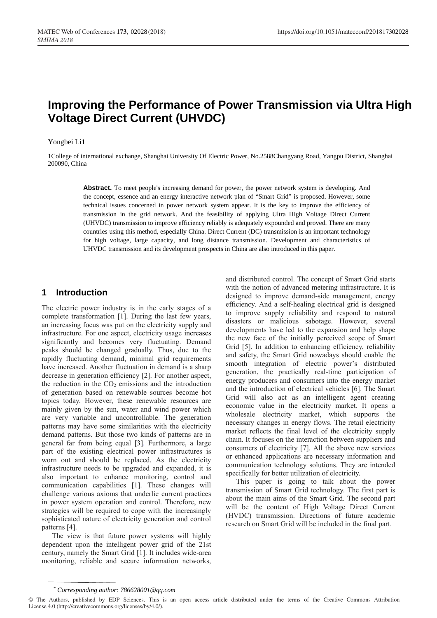# **Improving the Performance of Power Transmission via Ultra High Voltage Direct Current (UHVDC)**

#### Yongbei Li1

1College of international exchange, Shanghai University Of Electric Power, No.2588Changyang Road, Yangpu District, Shanghai 200090, China

Abstract. To meet people's increasing demand for power, the power network system is developing. And the concept, essence and an energy interactive network plan of "Smart Grid" is proposed. However, some technical issues concerned in power network system appear. It is the key to improve the efficiency of transmission in the grid network. And the feasibility of applying Ultra High Voltage Direct Current (UHVDC) transmission to improve efficiency reliably is adequately expounded and proved. There are many countries using this method, especially China. Direct Current (DC) transmission is an important technology for high voltage, large capacity, and long distance transmission. Development and characteristics of UHVDC transmission and its development prospects in China are also introduced in this paper.

### **1 Introduction**

The electric power industry is in the early stages of a complete transformation [1]. During the last few years, an increasing focus was put on the electricity supply and infrastructure. For one aspect, electricity usage increases significantly and becomes very fluctuating. Demand peaks should be changed gradually. Thus, due to the rapidly fluctuating demand, minimal grid requirements have increased. Another fluctuation in demand is a sharp decrease in generation efficiency [2]. For another aspect, the reduction in the  $CO<sub>2</sub>$  emissions and the introduction of generation based on renewable sources become hot topics today. However, these renewable resources are mainly given by the sun, water and wind power which are very variable and uncontrollable. The generation patterns may have some similarities with the electricity demand patterns. But those two kinds of patterns are in general far from being equal [3]. Furthermore, a large part of the existing electrical power infrastructures is worn out and should be replaced. As the electricity infrastructure needs to be upgraded and expanded, it is also important to enhance monitoring, control and communication capabilities [1]. These changes will challenge various axioms that underlie current practices in power system operation and control. Therefore, new strategies will be required to cope with the increasingly sophisticated nature of electricity generation and control patterns [4].

The view is that future power systems will highly dependent upon the intelligent power grid of the 21st century, namely the Smart Grid [1]. It includes wide-area monitoring, reliable and secure information networks,

and distributed control. The concept of Smart Grid starts with the notion of advanced metering infrastructure. It is designed to improve demand-side management, energy efficiency. And a self-healing electrical grid is designed to improve supply reliability and respond to natural disasters or malicious sabotage. However, several developments have led to the expansion and help shape the new face of the initially perceived scope of Smart Grid [5]. In addition to enhancing efficiency, reliability and safety, the Smart Grid nowadays should enable the smooth integration of electric power's distributed generation, the practically real-time participation of energy producers and consumers into the energy market and the introduction of electrical vehicles [6]. The Smart Grid will also act as an intelligent agent creating economic value in the electricity market. It opens a wholesale electricity market, which supports the necessary changes in energy flows. The retail electricity market reflects the final level of the electricity supply chain. It focuses on the interaction between suppliers and consumers of electricity [7]. All the above new services or enhanced applications are necessary information and communication technology solutions. They are intended specifically for better utilization of electricity.

This paper is going to talk about the power transmission of Smart Grid technology. The first part is about the main aims of the Smart Grid. The second part will be the content of High Voltage Direct Current (HVDC) transmission. Directions of future academic research on Smart Grid will be included in the final part.

*<sup>\*</sup> Corresponding author: [786628001@qq.com](mailto:786628001@qq.com)*

<sup>©</sup> The Authors, published by EDP Sciences. This is an open access article distributed under the terms of the Creative Commons Attribution License 4.0 (http://creativecommons.org/licenses/by/4.0/).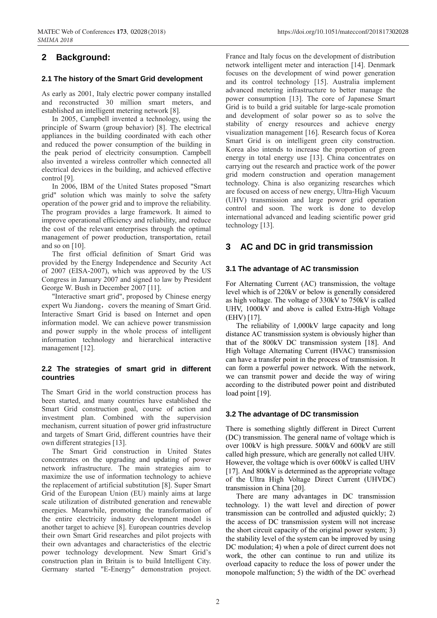# **2 Background:**

#### **2.1 The history of the Smart Grid development**

As early as 2001, Italy electric power company installed and reconstructed 30 million smart meters, and established an intelligent metering network [8].

In 2005, Campbell invented a technology, using the principle of Swarm (group behavior) [8]. The electrical appliances in the building coordinated with each other and reduced the power consumption of the building in the peak period of electricity consumption. Campbell also invented a wireless controller which connected all electrical devices in the building, and achieved effective control [9].

In 2006, IBM of the United States proposed "Smart grid" solution which was mainly to solve the safety operation of the power grid and to improve the reliability. The program provides a large framework. It aimed to improve operational efficiency and reliability, and reduce the cost of the relevant enterprises through the optimal management of power production, transportation, retail and so on [10].

The first official definition of Smart Grid was provided by the Energy Independence and Security Act of 2007 (EISA-2007), which was approved by the US Congress in January 2007 and signed to law by President George W. Bush in December 2007 [11].

"Interactive smart grid", proposed by Chinese energy expert Wu Jiandong, covers the meaning of Smart Grid. Interactive Smart Grid is based on Internet and open information model. We can achieve power transmission and power supply in the whole process of intelligent information technology and hierarchical interactive management [12].

### **2.2 The strategies of smart grid in different countries**

The Smart Grid in the world construction process has been started, and many countries have established the Smart Grid construction goal, course of action and investment plan. Combined with the supervision mechanism, current situation of power grid infrastructure and targets of Smart Grid, different countries have their own different strategies [13].

The Smart Grid construction in United States concentrates on the upgrading and updating of power network infrastructure. The main strategies aim to maximize the use of information technology to achieve the replacement of artificial substitution [8]. Super Smart Grid of the European Union (EU) mainly aims at large scale utilization of distributed generation and renewable energies. Meanwhile, promoting the transformation of the entire electricity industry development model is another target to achieve [8]. European countries develop their own Smart Grid researches and pilot projects with their own advantages and characteristics of the electric power technology development. New Smart Grid's construction plan in Britain is to build Intelligent City. Germany started "E-Energy" demonstration project.

France and Italy focus on the development of distribution network intelligent meter and interaction [14]. Denmark focuses on the development of wind power generation and its control technology [15]. Australia implement advanced metering infrastructure to better manage the power consumption [13]. The core of Japanese Smart Grid is to build a grid suitable for large-scale promotion and development of solar power so as to solve the stability of energy resources and achieve energy visualization management [16]. Research focus of Korea Smart Grid is on intelligent green city construction. Korea also intends to increase the proportion of green energy in total energy use [13]. China concentrates on carrying out the research and practice work of the power grid modern construction and operation management technology. China is also organizing researches which are focused on access of new energy, Ultra-High Vacuum (UHV) transmission and large power grid operation control and soon. The work is done to develop international advanced and leading scientific power grid technology [13].

## **3 AC and DC in grid transmission**

### **3.1 The advantage of AC transmission**

For Alternating Current (AC) transmission, the voltage level which is of 220kV or below is generally considered as high voltage. The voltage of 330kV to 750kV is called UHV, 1000kV and above is called Extra-High Voltage (EHV) [17].

The reliability of 1,000kV large capacity and long distance AC transmission system is obviously higher than that of the 800kV DC transmission system [18]. And High Voltage Alternating Current (HVAC) transmission can have a transfer point in the process of transmission. It can form a powerful power network. With the network, we can transmit power and decide the way of wiring according to the distributed power point and distributed load point [19].

### **3.2 The advantage of DC transmission**

There is something slightly different in Direct Current (DC) transmission. The general name of voltage which is over 100kV is high pressure. 500kV and 600kV are still called high pressure, which are generally not called UHV. However, the voltage which is over 600kV is called UHV [17]. And 800kV is determined as the appropriate voltage of the Ultra High Voltage Direct Current (UHVDC) transmission in China [20].

There are many advantages in DC transmission technology. 1) the watt level and direction of power transmission can be controlled and adjusted quickly; 2) the access of DC transmission system will not increase the short circuit capacity of the original power system; 3) the stability level of the system can be improved by using DC modulation; 4) when a pole of direct current does not work, the other can continue to run and utilize its overload capacity to reduce the loss of power under the monopole malfunction; 5) the width of the DC overhead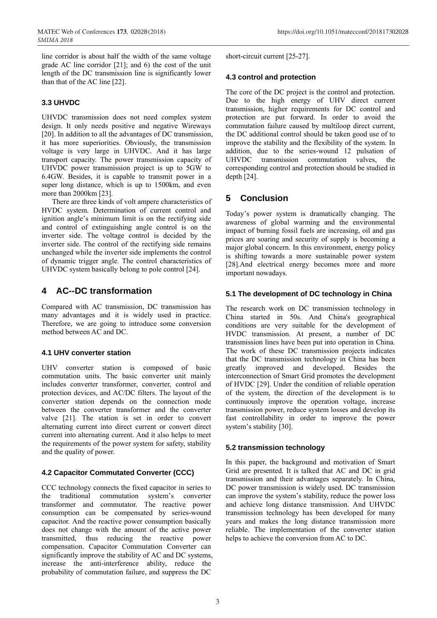line corridor is about half the width of the same voltage grade AC line corridor [21]; and 6) the cost of the unit length of the DC transmission line is significantly lower than that of the AC line [22].

### **3.3 UHVDC**

UHVDC transmission does not need complex system design. It only needs positive and negative Wireways [20]. In addition to all the advantages of DC transmission, it has more superiorities. Obviously, the transmission voltage is very large in UHVDC. And it has large transport capacity. The power transmission capacity of UHVDC power transmission project is up to 5GW to 6.4GW. Besides, it is capable to transmit power in a super long distance, which is up to 1500km, and even more than 2000km [23].

There are three kinds of volt ampere characteristics of HVDC system. Determination of current control and ignition angle's minimum limit is on the rectifying side and control of extinguishing angle control is on the inverter side. The voltage control is decided by the inverter side. The control of the rectifying side remains unchanged while the inverter side implements the control of dynamic trigger angle. The control characteristics of UHVDC system basically belong to pole control [24].

### **4 AC--DC transformation**

Compared with AC transmission, DC transmission has many advantages and it is widely used in practice. Therefore, we are going to introduce some conversion method between AC and DC.

### **4.1 UHV converter station**

UHV converter station is composed of basic commutation units. The basic converter unit mainly includes converter transformer, converter, control and protection devices, and AC/DC filters. The layout of the converter station depends on the connection mode between the converter transformer and the converter valve [21]. The station is set in order to convert alternating current into direct current or convert direct current into alternating current. And it also helps to meet the requirements of the power system for safety, stability and the quality of power.

### **4.2 Capacitor Commutated Converter (CCC)**

CCC technology connects the fixed capacitor in series to the traditional commutation system's converter transformer and commutator. The reactive power consumption can be compensated by series-wound capacitor. And the reactive power consumption basically does not change with the amount of the active power transmitted, thus reducing the reactive power compensation. Capacitor Commutation Converter can significantly improve the stability of AC and DC systems, increase the anti-interference ability, reduce the probability of commutation failure, and suppress the DC

short-circuit current [25-27].

### **4.3 control and protection**

The core of the DC project is the control and protection. Due to the high energy of UHV direct current transmission, higher requirements for DC control and protection are put forward. In order to avoid the commutation failure caused by multiloop direct current, the DC additional control should be taken good use of to improve the stability and the flexibility of the system. In addition, due to the series-wound 12 pulsation of UHVDC transmission commutation valves, the corresponding control and protection should be studied in depth [24].

## **5 Conclusion**

Today's power system is dramatically changing. The awareness of global warming and the environmental impact of burning fossil fuels are increasing, oil and gas prices are soaring and security of supply is becoming a major global concern. In this environment, energy policy is shifting towards a more sustainable power system [28].And electrical energy becomes more and more important nowadays.

### **5.1 The development of DC technology in China**

The research work on DC transmission technology in China started in 50s. And China's geographical conditions are very suitable for the development of HVDC transmission. At present, a number of DC transmission lines have been put into operation in China. The work of these DC transmission projects indicates that the DC transmission technology in China has been greatly improved and developed. Besides the interconnection of Smart Grid promotes the development of HVDC [29]. Under the condition of reliable operation of the system, the direction of the development is to continuously improve the operation voltage, increase transmission power, reduce system losses and develop its fast controllability in order to improve the power system's stability [30].

### **5.2 transmission technology**

In this paper, the background and motivation of Smart Grid are presented. It is talked that AC and DC in grid transmission and their advantages separately. In China, DC power transmission is widely used. DC transmission can improve the system's stability, reduce the power loss and achieve long distance transmission. And UHVDC transmission technology has been developed for many years and makes the long distance transmission more reliable. The implementation of the converter station helps to achieve the conversion from AC to DC.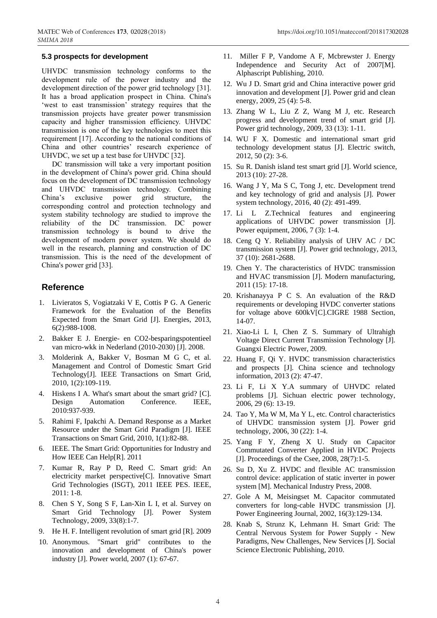#### **5.3 prospects for development**

UHVDC transmission technology conforms to the development rule of the power industry and the development direction of the power grid technology [31]. It has a broad application prospect in China. China's 'west to east transmission' strategy requires that the transmission projects have greater power transmission capacity and higher transmission efficiency. UHVDC transmission is one of the key technologies to meet this requirement [17]. According to the national conditions of China and other countries' research experience of UHVDC, we set up a test base for UHVDC [32].

DC transmission will take a very important position in the development of China's power grid. China should focus on the development of DC transmission technology and UHVDC transmission technology. Combining China's exclusive power grid structure, the corresponding control and protection technology and system stability technology are studied to improve the reliability of the DC transmission. DC power transmission technology is bound to drive the development of modern power system. We should do well in the research, planning and construction of DC transmission. This is the need of the development of China's power grid [33].

#### **Reference**

- 1. Livieratos S, Vogiatzaki V E, Cottis P G. A Generic Framework for the Evaluation of the Benefits Expected from the Smart Grid [J]. Energies, 2013, 6(2):988-1008.
- 2. Bakker E J. Energie- en CO2-besparingspotentieel van micro-wkk in Nederland (2010-2030) [J]. 2008.
- 3. Molderink A, Bakker V, Bosman M G C, et al. Management and Control of Domestic Smart Grid Technology[J]. IEEE Transactions on Smart Grid, 2010, 1(2):109-119.
- 4. Hiskens I A. What's smart about the smart grid? [C]. Design Automation Conference. IEEE, 2010:937-939.
- 5. Rahimi F, Ipakchi A. Demand Response as a Market Resource under the Smart Grid Paradigm [J]. IEEE Transactions on Smart Grid, 2010, 1(1):82-88.
- 6. IEEE. The Smart Grid: Opportunities for Industry and How IEEE Can Help[R]. 2011
- 7. Kumar R, Ray P D, Reed C. Smart grid: An electricity market perspective[C]. Innovative Smart Grid Technologies (ISGT), 2011 IEEE PES. IEEE, 2011: 1-8.
- 8. Chen S Y, Song S F, Lan-Xin L I, et al. Survey on Smart Grid Technology [J]. Power System Technology, 2009, 33(8):1-7.
- 9. He H. F. Intelligent revolution of smart grid [R]. 2009
- 10. Anonymous. "Smart grid" contributes to the innovation and development of China's power industry [J]. Power world, 2007 (1): 67-67.
- 11. Miller F P, Vandome A F, Mcbrewster J. Energy Independence and Security Act of 2007[M]. Alphascript Publishing, 2010.
- 12. Wu J D. Smart grid and China interactive power grid innovation and development [J]. Power grid and clean energy, 2009, 25 (4): 5-8.
- 13. Zhang W L, Liu Z Z, Wang M J, etc. Research progress and development trend of smart grid [J]. Power grid technology, 2009, 33 (13): 1-11.
- 14. WU F X. Domestic and international smart grid technology development status [J]. Electric switch, 2012, 50 (2): 3-6.
- 15. Su R. Danish island test smart grid [J]. World science, 2013 (10): 27-28.
- 16. Wang J Y, Ma S C, Tong J, etc. Development trend and key technology of grid and analysis [J]. Power system technology, 2016, 40 (2): 491-499.
- 17. Li L Z.Technical features and engineering applications of UHVDC power transmission [J]. Power equipment, 2006, 7 (3): 1-4.
- 18. Ceng Q Y. Reliability analysis of UHV AC / DC transmission system [J]. Power grid technology, 2013, 37 (10): 2681-2688.
- 19. Chen Y. The characteristics of HVDC transmission and HVAC transmission [J]. Modern manufacturing, 2011 (15): 17-18.
- 20. Krishanayya P C S. An evaluation of the R&D requirements or developing HVDC converter stations for voltage above 600kV[C].CIGRE 1988 Section, 14-07.
- 21. Xiao-Li L I, Chen Z S. Summary of Ultrahigh Voltage Direct Current Transmission Technology [J]. Guangxi Electric Power, 2009.
- 22. Huang F, Qi Y. HVDC transmission characteristics and prospects [J]. China science and technology information, 2013 (2): 47-47.
- 23. Li F, Li X Y.A summary of UHVDC related problems [J]. Sichuan electric power technology, 2006, 29 (6): 13-19.
- 24. Tao Y, Ma W M, Ma Y L, etc. Control characteristics of UHVDC transmission system [J]. Power grid technology, 2006, 30 (22): 1-4.
- 25. Yang F Y, Zheng X U. Study on Capacitor Commutated Converter Applied in HVDC Projects [J]. Proceedings of the Csee, 2008, 28(7):1-5.
- 26. Su D, Xu Z. HVDC and flexible AC transmission control device: application of static inverter in power system [M]. Mechanical Industry Press, 2008.
- 27. Gole A M, Meisingset M. Capacitor commutated converters for long-cable HVDC transmission [J]. Power Engineering Journal, 2002, 16(3):129-134.
- 28. Knab S, Strunz K, Lehmann H. Smart Grid: The Central Nervous System for Power Supply - New Paradigms, New Challenges, New Services [J]. Social Science Electronic Publishing, 2010.